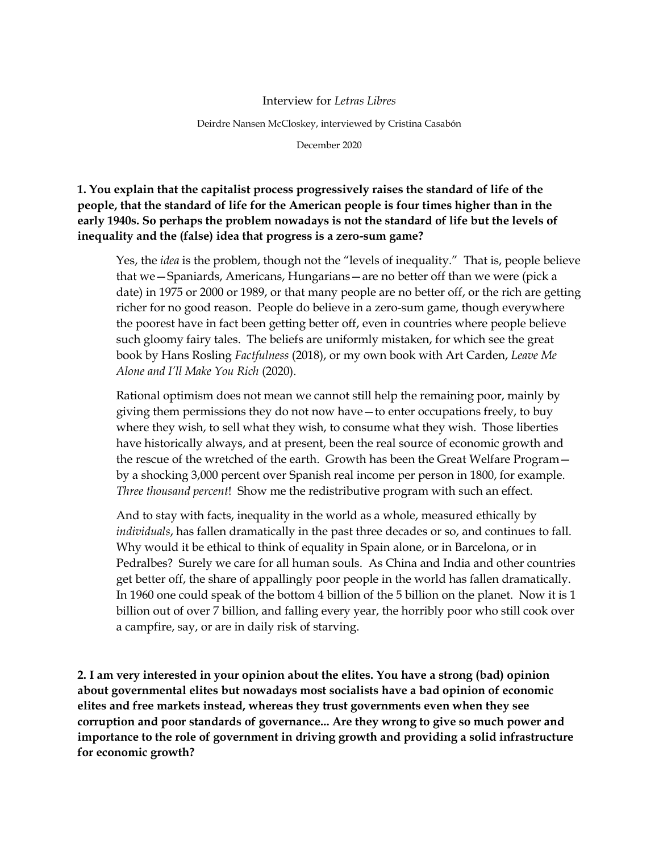## Interview for *Letras Libres*

Deirdre Nansen McCloskey, interviewed by Cristina Casabón

December 2020

**1. You explain that the capitalist process progressively raises the standard of life of the people, that the standard of life for the American people is four times higher than in the early 1940s. So perhaps the problem nowadays is not the standard of life but the levels of inequality and the (false) idea that progress is a zero-sum game?**

Yes, the *idea* is the problem, though not the "levels of inequality." That is, people believe that we—Spaniards, Americans, Hungarians—are no better off than we were (pick a date) in 1975 or 2000 or 1989, or that many people are no better off, or the rich are getting richer for no good reason. People do believe in a zero-sum game, though everywhere the poorest have in fact been getting better off, even in countries where people believe such gloomy fairy tales. The beliefs are uniformly mistaken, for which see the great book by Hans Rosling *Factfulness* (2018), or my own book with Art Carden, *Leave Me Alone and I'll Make You Rich* (2020).

Rational optimism does not mean we cannot still help the remaining poor, mainly by giving them permissions they do not now have—to enter occupations freely, to buy where they wish, to sell what they wish, to consume what they wish. Those liberties have historically always, and at present, been the real source of economic growth and the rescue of the wretched of the earth. Growth has been the Great Welfare Program by a shocking 3,000 percent over Spanish real income per person in 1800, for example. *Three thousand percent*! Show me the redistributive program with such an effect.

And to stay with facts, inequality in the world as a whole, measured ethically by *individuals*, has fallen dramatically in the past three decades or so, and continues to fall. Why would it be ethical to think of equality in Spain alone, or in Barcelona, or in Pedralbes? Surely we care for all human souls. As China and India and other countries get better off, the share of appallingly poor people in the world has fallen dramatically. In 1960 one could speak of the bottom 4 billion of the 5 billion on the planet. Now it is 1 billion out of over 7 billion, and falling every year, the horribly poor who still cook over a campfire, say, or are in daily risk of starving.

**2. I am very interested in your opinion about the elites. You have a strong (bad) opinion about governmental elites but nowadays most socialists have a bad opinion of economic elites and free markets instead, whereas they trust governments even when they see corruption and poor standards of governance... Are they wrong to give so much power and importance to the role of government in driving growth and providing a solid infrastructure for economic growth?**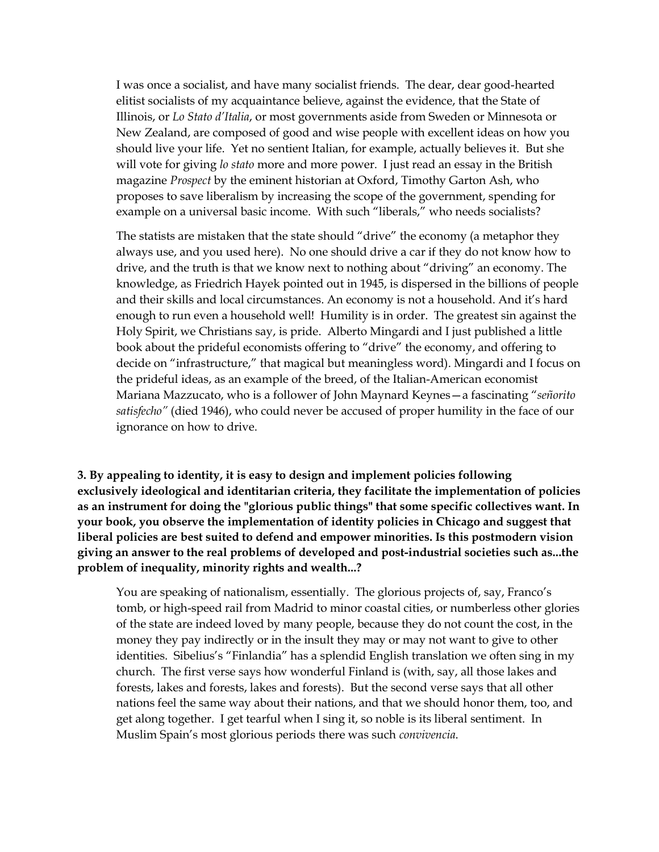I was once a socialist, and have many socialist friends. The dear, dear good-hearted elitist socialists of my acquaintance believe, against the evidence, that the State of Illinois, or *Lo Stato d'Italia*, or most governments aside from Sweden or Minnesota or New Zealand, are composed of good and wise people with excellent ideas on how you should live your life. Yet no sentient Italian, for example, actually believes it. But she will vote for giving *lo stato* more and more power. I just read an essay in the British magazine *Prospect* by the eminent historian at Oxford, Timothy Garton Ash, who proposes to save liberalism by increasing the scope of the government, spending for example on a universal basic income. With such "liberals," who needs socialists?

The statists are mistaken that the state should "drive" the economy (a metaphor they always use, and you used here). No one should drive a car if they do not know how to drive, and the truth is that we know next to nothing about "driving" an economy. The knowledge, as Friedrich Hayek pointed out in 1945, is dispersed in the billions of people and their skills and local circumstances. An economy is not a household. And it's hard enough to run even a household well! Humility is in order. The greatest sin against the Holy Spirit, we Christians say, is pride. Alberto Mingardi and I just published a little book about the prideful economists offering to "drive" the economy, and offering to decide on "infrastructure," that magical but meaningless word). Mingardi and I focus on the prideful ideas, as an example of the breed, of the Italian-American economist Mariana Mazzucato, who is a follower of John Maynard Keynes—a fascinating "*señorito satisfecho"* (died 1946), who could never be accused of proper humility in the face of our ignorance on how to drive.

**3. By appealing to identity, it is easy to design and implement policies following exclusively ideological and identitarian criteria, they facilitate the implementation of policies as an instrument for doing the "glorious public things" that some specific collectives want. In your book, you observe the implementation of identity policies in Chicago and suggest that liberal policies are best suited to defend and empower minorities. Is this postmodern vision giving an answer to the real problems of developed and post-industrial societies such as...the problem of inequality, minority rights and wealth...?**

You are speaking of nationalism, essentially. The glorious projects of, say, Franco's tomb, or high-speed rail from Madrid to minor coastal cities, or numberless other glories of the state are indeed loved by many people, because they do not count the cost, in the money they pay indirectly or in the insult they may or may not want to give to other identities. Sibelius's "Finlandia" has a splendid English translation we often sing in my church. The first verse says how wonderful Finland is (with, say, all those lakes and forests, lakes and forests, lakes and forests). But the second verse says that all other nations feel the same way about their nations, and that we should honor them, too, and get along together. I get tearful when I sing it, so noble is its liberal sentiment. In Muslim Spain's most glorious periods there was such *convivencia*.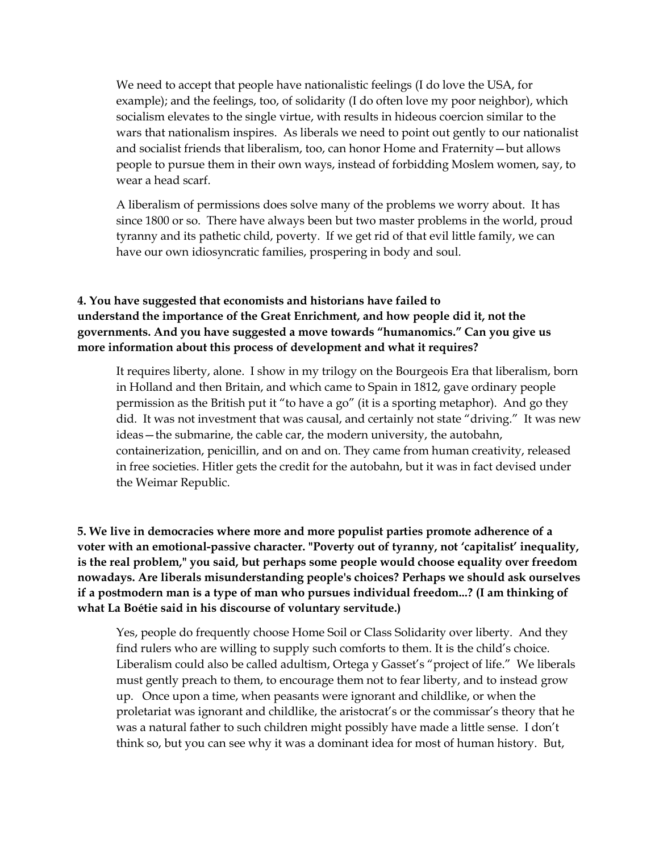We need to accept that people have nationalistic feelings (I do love the USA, for example); and the feelings, too, of solidarity (I do often love my poor neighbor), which socialism elevates to the single virtue, with results in hideous coercion similar to the wars that nationalism inspires. As liberals we need to point out gently to our nationalist and socialist friends that liberalism, too, can honor Home and Fraternity—but allows people to pursue them in their own ways, instead of forbidding Moslem women, say, to wear a head scarf.

A liberalism of permissions does solve many of the problems we worry about. It has since 1800 or so. There have always been but two master problems in the world, proud tyranny and its pathetic child, poverty. If we get rid of that evil little family, we can have our own idiosyncratic families, prospering in body and soul.

## **4. You have suggested that economists and historians have failed to understand the importance of the Great Enrichment, and how people did it, not the governments. And you have suggested a move towards "humanomics." Can you give us more information about this process of development and what it requires?**

It requires liberty, alone. I show in my trilogy on the Bourgeois Era that liberalism, born in Holland and then Britain, and which came to Spain in 1812, gave ordinary people permission as the British put it "to have a go" (it is a sporting metaphor). And go they did. It was not investment that was causal, and certainly not state "driving." It was new ideas—the submarine, the cable car, the modern university, the autobahn, containerization, penicillin, and on and on. They came from human creativity, released in free societies. Hitler gets the credit for the autobahn, but it was in fact devised under the Weimar Republic.

**5. We live in democracies where more and more populist parties promote adherence of a voter with an emotional-passive character. "Poverty out of tyranny, not 'capitalist' inequality, is the real problem," you said, but perhaps some people would choose equality over freedom nowadays. Are liberals misunderstanding people's choices? Perhaps we should ask ourselves if a postmodern man is a type of man who pursues individual freedom...? (I am thinking of what La Boétie said in his discourse of voluntary servitude.)**

Yes, people do frequently choose Home Soil or Class Solidarity over liberty. And they find rulers who are willing to supply such comforts to them. It is the child's choice. Liberalism could also be called adultism, Ortega y Gasset's "project of life." We liberals must gently preach to them, to encourage them not to fear liberty, and to instead grow up. Once upon a time, when peasants were ignorant and childlike, or when the proletariat was ignorant and childlike, the aristocrat's or the commissar's theory that he was a natural father to such children might possibly have made a little sense. I don't think so, but you can see why it was a dominant idea for most of human history. But,